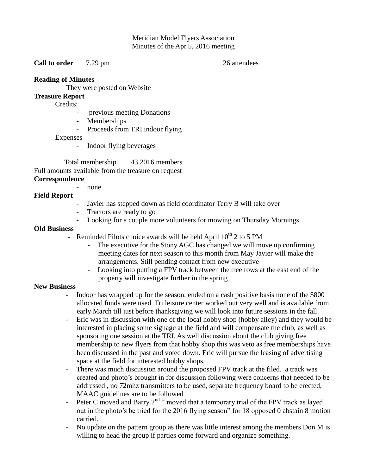## Meridian Model Flyers Association Minutes of the Apr 5, 2016 meeting

**Call to order** 7.29 pm 26 attendees

### **Reading of Minutes**

They were posted on Website

# **Treasure Report**

Credits:

- previous meeting Donations
- Memberships
- Proceeds from TRI indoor flying

Expenses

Indoor flying beverages

 Total membership 43 2016 members Full amounts available from the treasure on request **Correspondence** 

- none

## **Field Report**

- Javier has stepped down as field coordinator Terry B will take over
- Tractors are ready to go
- Looking for a couple more volunteers for mowing on Thursday Mornings

#### **Old Business**

- Reminded Pilots choice awards will be held April  $10^{th}$  2 to 5 PM
	- The executive for the Stony AGC has changed we will move up confirming meeting dates for next season to this month from May Javier will make the arrangements. Still pending contact from new executive
	- Looking into putting a FPV track between the tree rows at the east end of the property will investigate further in the spring

#### **New Business**

- Indoor has wrapped up for the season, ended on a cash positive basis none of the \$800 allocated funds were used. Tri leisure center worked out very well and is available from early March till just before thanksgiving we will look into future sessions in the fall.
- Eric was in discussion with one of the local hobby shop (hobby alley) and they would be interested in placing some signage at the field and will compensate the club, as well as sponsoring one session at the TRI. As well discussion about the club giving free membership to new flyers from that hobby shop this was veto as free memberships have been discussed in the past and voted down. Eric will pursue the leasing of advertising space at the field for interested hobby shops.
- There was much discussion around the proposed FPV track at the filed. a track was created and photo's brought in for discussion following were concerns that needed to be addressed , no 72mhz transmitters to be used, separate frequency board to be erected, MAAC guidelines are to be followed
- Peter C moved and Barry  $2^{nd}$  " moved that a temporary trial of the FPV track as layed out in the photo's be tried for the 2016 flying season" for 18 opposed 0 abstain 8 motion carried.
- No update on the pattern group as there was little interest among the members Don M is willing to head the group if parties come forward and organize something.